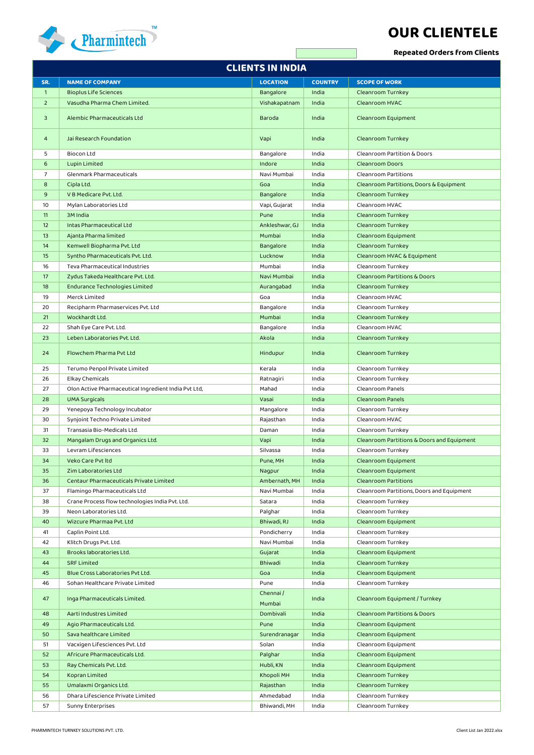

## **OUR CLIENTELE**

**Repeated Orders from Clients**

| <b>CLIENTS IN INDIA</b> |                                                      |                    |                |                                            |  |  |  |  |
|-------------------------|------------------------------------------------------|--------------------|----------------|--------------------------------------------|--|--|--|--|
| SR.                     | <b>NAME OF COMPANY</b>                               | <b>LOCATION</b>    | <b>COUNTRY</b> | <b>SCOPE OF WORK</b>                       |  |  |  |  |
| $\mathbf{1}$            | <b>Bioplus Life Sciences</b>                         | Bangalore          | India          | Cleanroom Turnkey                          |  |  |  |  |
| $\overline{2}$          | Vasudha Pharma Chem Limited.                         | Vishakapatnam      | India          | Cleanroom HVAC                             |  |  |  |  |
| 3                       | Alembic Pharmaceuticals Ltd                          | <b>Baroda</b>      | India          | Cleanroom Equipment                        |  |  |  |  |
| 4                       | Jai Research Foundation                              | Vapi               | India          | Cleanroom Turnkey                          |  |  |  |  |
| 5                       | <b>Biocon Ltd</b>                                    | Bangalore          | India          | Cleanroom Partition & Doors                |  |  |  |  |
| 6                       | Lupin Limited                                        | Indore             | India          | <b>Cleanroom Doors</b>                     |  |  |  |  |
| 7                       | Glenmark Pharmaceuticals                             | Navi Mumbai        | India          | Cleanroom Partitions                       |  |  |  |  |
| 8                       | Cipla Ltd.                                           | Goa                | India          | Cleanroom Partitions, Doors & Equipment    |  |  |  |  |
| 9                       | V B Medicare Pvt. Ltd.                               | Bangalore          | India          | Cleanroom Turnkey                          |  |  |  |  |
| 10                      | Mylan Laboratories Ltd                               | Vapi, Gujarat      | India          | Cleanroom HVAC                             |  |  |  |  |
| 11                      | 3M India                                             | Pune               | India          | Cleanroom Turnkey                          |  |  |  |  |
| 12                      | Intas Pharmaceutical Ltd                             | Ankleshwar, GJ     | India          | Cleanroom Turnkey                          |  |  |  |  |
| 13                      | Ajanta Pharma limited                                | Mumbai             | India          | Cleanroom Equipment                        |  |  |  |  |
| 14                      | Kemwell Biopharma Pvt. Ltd                           | Bangalore          | India          | Cleanroom Turnkey                          |  |  |  |  |
| 15                      | Syntho Pharmaceuticals Pvt. Ltd.                     | Lucknow            | India          | Cleanroom HVAC & Equipment                 |  |  |  |  |
| 16                      | Teva Pharmaceutical Industries                       | Mumbai             | India          | Cleanroom Turnkey                          |  |  |  |  |
| 17                      | Zydus Takeda Healthcare Pvt. Ltd.                    | Navi Mumbai        | India          | <b>Cleanroom Partitions &amp; Doors</b>    |  |  |  |  |
| 18                      | <b>Endurance Technologies Limited</b>                | Aurangabad         | India          | Cleanroom Turnkey                          |  |  |  |  |
| 19                      | Merck Limited                                        | Goa                | India          | Cleanroom HVAC                             |  |  |  |  |
| 20                      | Recipharm Pharmaservices Pvt. Ltd                    | Bangalore          | India          | Cleanroom Turnkey                          |  |  |  |  |
| 21                      | Wockhardt Ltd.                                       | Mumbai             | India          | <b>Cleanroom Turnkey</b>                   |  |  |  |  |
| 22                      | Shah Eye Care Pvt. Ltd.                              | Bangalore          | India          | Cleanroom HVAC                             |  |  |  |  |
| 23                      | Leben Laboratories Pvt. Ltd.                         | Akola              | India          | Cleanroom Turnkey                          |  |  |  |  |
| 24                      | Flowchem Pharma Pvt Ltd                              | Hindupur           | India          | Cleanroom Turnkey                          |  |  |  |  |
| 25                      | Terumo Penpol Private Limited                        | Kerala             | India          | Cleanroom Turnkey                          |  |  |  |  |
| 26                      | <b>Elkay Chemicals</b>                               | Ratnagiri          | India          | Cleanroom Turnkey                          |  |  |  |  |
| 27                      | Olon Active Pharmaceutical Ingredient India Pvt Ltd, | Mahad              | India          | Cleanroom Panels                           |  |  |  |  |
| 28                      | <b>UMA Surgicals</b>                                 | Vasai              | India          | <b>Cleanroom Panels</b>                    |  |  |  |  |
| 29                      | Yenepoya Technology Incubator                        | Mangalore          | India          | Cleanroom Turnkey                          |  |  |  |  |
| 30                      | Synjoint Techno Private Limited                      | Rajasthan          | India          | Cleanroom HVAC                             |  |  |  |  |
| 31                      | Transasia Bio-Medicals Ltd.                          | Daman              | India          | Cleanroom Turnkey                          |  |  |  |  |
| 32                      | Mangalam Drugs and Organics Ltd.                     | Vapi               | India          | Cleanroom Partitions & Doors and Equipment |  |  |  |  |
| 33                      | Levram Lifesciences                                  | Silvassa           | India          | Cleanroom Turnkey                          |  |  |  |  |
| 34                      | Veko Care Pvt Itd                                    | Pune, MH           | India          | Cleanroom Equipment                        |  |  |  |  |
| 35                      | Zim Laboratories Ltd                                 | Nagpur             | India          | Cleanroom Equipment                        |  |  |  |  |
| 36                      | Centaur Pharmaceuticals Private Limited              | Ambernath, MH      | India          | <b>Cleanroom Partitions</b>                |  |  |  |  |
| 37                      | Flamingo Pharmaceuticals Ltd                         | Navi Mumbai        | India          | Cleanroom Partitions, Doors and Equipment  |  |  |  |  |
| 38                      | Crane Process flow technologies India Pvt. Ltd.      | Satara             | India          | Cleanroom Turnkey                          |  |  |  |  |
| 39                      | Neon Laboratories Ltd.                               | Palghar            | India          | Cleanroom Turnkey                          |  |  |  |  |
| 40                      | Wizcure Pharmaa Pvt. Ltd                             | Bhiwadi, RJ        | India          | Cleanroom Equipment                        |  |  |  |  |
| 41                      | Caplin Point Ltd.                                    | Pondicherry        | India          | Cleanroom Turnkey                          |  |  |  |  |
| 42                      | Klitch Drugs Pvt. Ltd.                               | Navi Mumbai        | India          | Cleanroom Turnkey                          |  |  |  |  |
| 43                      | Brooks laboratories Ltd.                             | Gujarat            | India          | Cleanroom Equipment                        |  |  |  |  |
| 44                      | <b>SRF Limited</b>                                   | Bhiwadi            | India          | Cleanroom Turnkey                          |  |  |  |  |
| 45                      | Blue Cross Laboratories Pvt Ltd.                     | Goa                | India          | Cleanroom Equipment                        |  |  |  |  |
| 46                      | Sohan Healthcare Private Limited                     | Pune               | India          | Cleanroom Turnkey                          |  |  |  |  |
| 47                      | Inga Pharmaceuticals Limited.                        | Chennai/<br>Mumbai | India          | Cleanroom Equipment / Turnkey              |  |  |  |  |
| 48                      | Aarti Industres Limited                              | Dombivali          | India          | <b>Cleanroom Partitions &amp; Doors</b>    |  |  |  |  |
| 49                      | Agio Pharmaceuticals Ltd.                            | Pune               | India          | Cleanroom Equipment                        |  |  |  |  |
| 50                      | Sava healthcare Limited                              | Surendranagar      | India          | Cleanroom Equipment                        |  |  |  |  |
| 51                      | Vacxigen Lifesciences Pvt. Ltd                       | Solan              | India          | Cleanroom Equipment                        |  |  |  |  |
| 52                      | Africure Pharmaceuticals Ltd.                        | Palghar            | India          | Cleanroom Equipment                        |  |  |  |  |
| 53                      | Ray Chemicals Pvt. Ltd.                              | Hubli, KN          | India          | Cleanroom Equipment                        |  |  |  |  |
| 54                      | Kopran Limited                                       | Khopoli MH         | India          | Cleanroom Turnkey                          |  |  |  |  |
| 55                      | Umalaxmi Organics Ltd.                               | Rajasthan          | India          | Cleanroom Turnkey                          |  |  |  |  |
| 56                      | Dhara Lifescience Private Limited                    | Ahmedabad          | India          | Cleanroom Turnkey                          |  |  |  |  |
| 57                      | Sunny Enterprises                                    | Bhiwandi, MH       | India          | Cleanroom Turnkey                          |  |  |  |  |